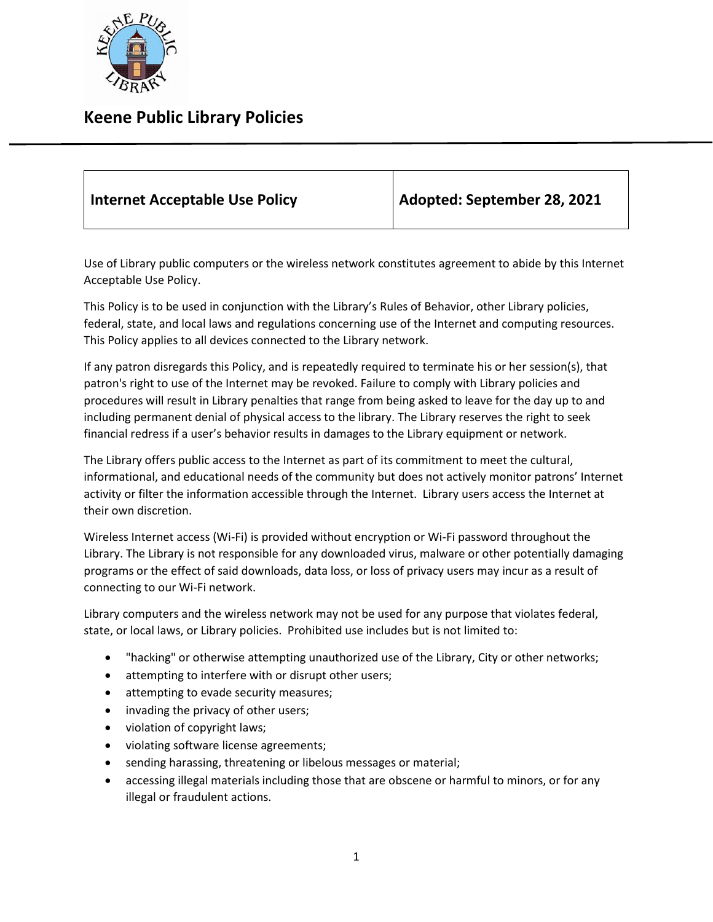

## **Keene Public Library Policies**

| Internet Acceptable Use Policy | Adopted: September 28, 2021 |
|--------------------------------|-----------------------------|
|--------------------------------|-----------------------------|

Use of Library public computers or the wireless network constitutes agreement to abide by this Internet Acceptable Use Policy.

This Policy is to be used in conjunction with the Library's Rules of Behavior, other Library policies, federal, state, and local laws and regulations concerning use of the Internet and computing resources. This Policy applies to all devices connected to the Library network.

If any patron disregards this Policy, and is repeatedly required to terminate his or her session(s), that patron's right to use of the Internet may be revoked. Failure to comply with Library policies and procedures will result in Library penalties that range from being asked to leave for the day up to and including permanent denial of physical access to the library. The Library reserves the right to seek financial redress if a user's behavior results in damages to the Library equipment or network.

The Library offers public access to the Internet as part of its commitment to meet the cultural, informational, and educational needs of the community but does not actively monitor patrons' Internet activity or filter the information accessible through the Internet. Library users access the Internet at their own discretion.

Wireless Internet access (Wi-Fi) is provided without encryption or Wi-Fi password throughout the Library. The Library is not responsible for any downloaded virus, malware or other potentially damaging programs or the effect of said downloads, data loss, or loss of privacy users may incur as a result of connecting to our Wi-Fi network.

Library computers and the wireless network may not be used for any purpose that violates federal, state, or local laws, or Library policies. Prohibited use includes but is not limited to:

- "hacking" or otherwise attempting unauthorized use of the Library, City or other networks;
- attempting to interfere with or disrupt other users;
- attempting to evade security measures;
- invading the privacy of other users;
- violation of copyright laws;
- violating software license agreements;
- sending harassing, threatening or libelous messages or material;
- accessing illegal materials including those that are obscene or harmful to minors, or for any illegal or fraudulent actions.